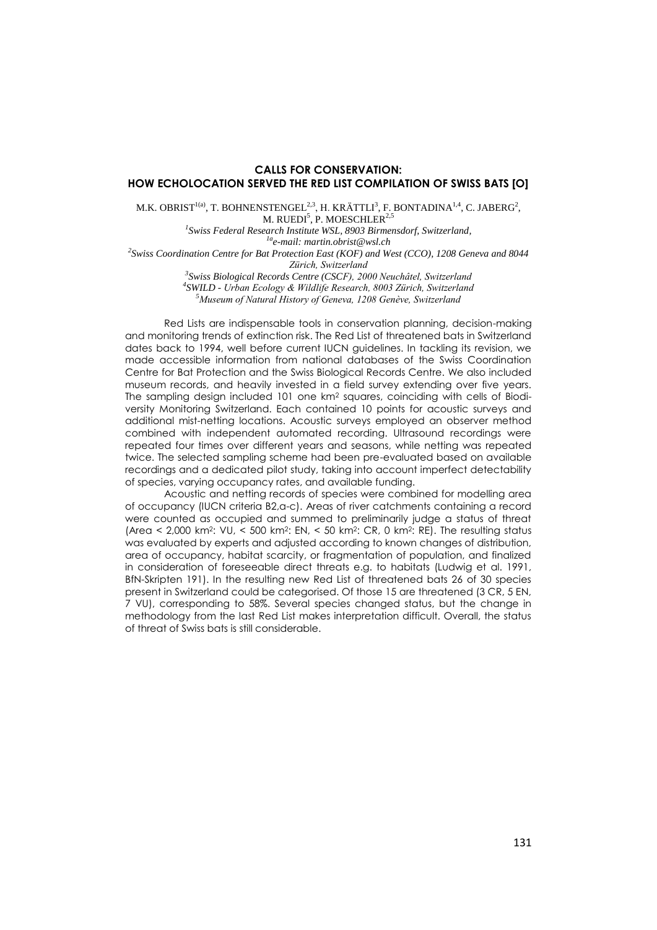## **CALLS FOR CONSERVATION: HOW ECHOLOCATION SERVED THE RED LIST COMPILATION OF SWISS BATS [O]**

M.K. OBRIST<sup>1(a)</sup>, T. BOHNENSTENGEL<sup>2,3</sup>, H. KRÄTTLI<sup>3</sup>, F. BONTADINA<sup>1,4</sup>, C. JABERG<sup>2</sup>, M. RUEDI $^5$ , P. MOESCHLER $^{2,5}$ *1 Swiss Federal Research Institute WSL, 8903 Birmensdorf, Switzerland,*

*1ae-mail: martin.obrist@wsl.ch 2 Swiss Coordination Centre for Bat Protection East (KOF) and West (CCO), 1208 Geneva and 8044 Zürich, Switzerland*

> *3 Swiss Biological Records Centre (CSCF), 2000 Neuchâtel, Switzerland 4 SWILD - Urban Ecology & Wildlife Research, 8003 Zürich, Switzerland <sup>5</sup>Museum of Natural History of Geneva, 1208 Genève, Switzerland*

Red Lists are indispensable tools in conservation planning, decision-making and monitoring trends of extinction risk. The Red List of threatened bats in Switzerland dates back to 1994, well before current IUCN guidelines. In tackling its revision, we made accessible information from national databases of the Swiss Coordination Centre for Bat Protection and the Swiss Biological Records Centre. We also included museum records, and heavily invested in a field survey extending over five years. The sampling design included 101 one  $km^2$  squares, coinciding with cells of Biodiversity Monitoring Switzerland. Each contained 10 points for acoustic surveys and additional mist-netting locations. Acoustic surveys employed an observer method combined with independent automated recording. Ultrasound recordings were repeated four times over different years and seasons, while netting was repeated twice. The selected sampling scheme had been pre-evaluated based on available recordings and a dedicated pilot study, taking into account imperfect detectability of species, varying occupancy rates, and available funding.

Acoustic and netting records of species were combined for modelling area of occupancy (IUCN criteria B2,a-c). Areas of river catchments containing a record were counted as occupied and summed to preliminarily judge a status of threat  $(Area < 2,000 km<sup>2</sup>: VU, < 500 km<sup>2</sup>: EN, < 50 km<sup>2</sup>: CR, 0 km<sup>2</sup>: RE). The resulting status$ was evaluated by experts and adjusted according to known changes of distribution, area of occupancy, habitat scarcity, or fragmentation of population, and finalized in consideration of foreseeable direct threats e.g. to habitats (Ludwig et al. 1991, BfN-Skripten 191). In the resulting new Red List of threatened bats 26 of 30 species present in Switzerland could be categorised. Of those 15 are threatened (3 CR, 5 EN, 7 VU), corresponding to 58%. Several species changed status, but the change in methodology from the last Red List makes interpretation difficult. Overall, the status of threat of Swiss bats is still considerable.